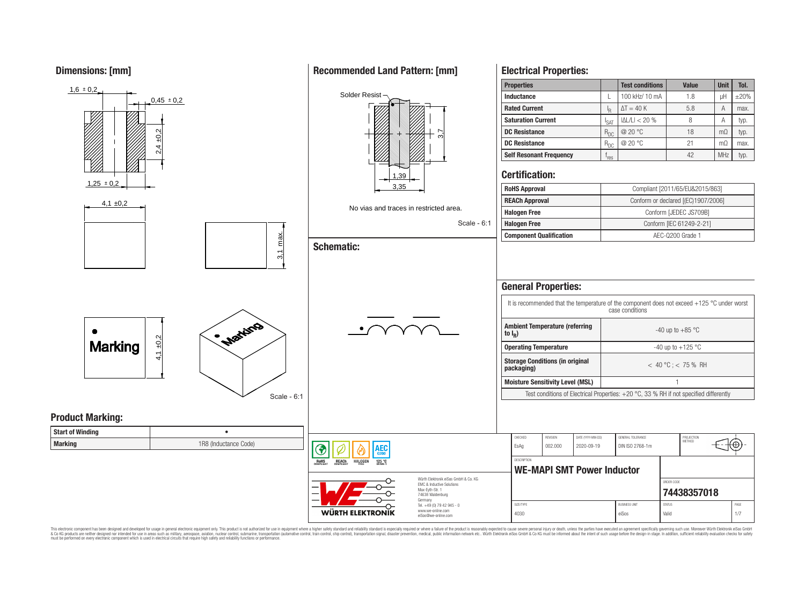**Dimensions: [mm]**



This electronic component has been designed and developed for usage in general electronic equipment only. This product is not authorized for use in equipment where a higher safety standard and reliability standard is espec & Ook product a label and the membed of the seasuch as marked and as which such a membed and the such assume that income in the seasuch and the simulation and the such assume that include to the such a membed and the such

## **Recommended Land Pattern: [mm]**

**Electrical Properties:**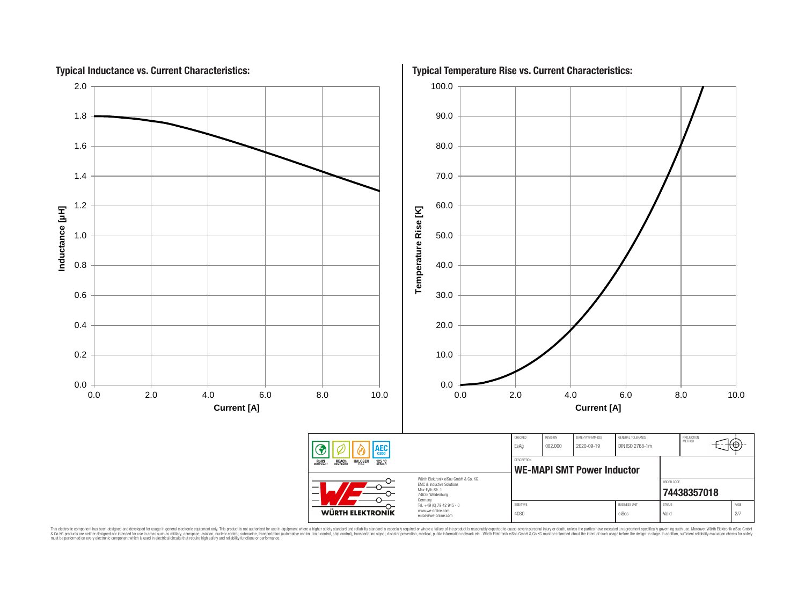

This electronic component has been designed and developed for usage in general electronic equipment only. This product is not authorized for subserved requipment where a higher selection equipment where a higher selection

# **Typical Temperature Rise vs. Current Characteristics:**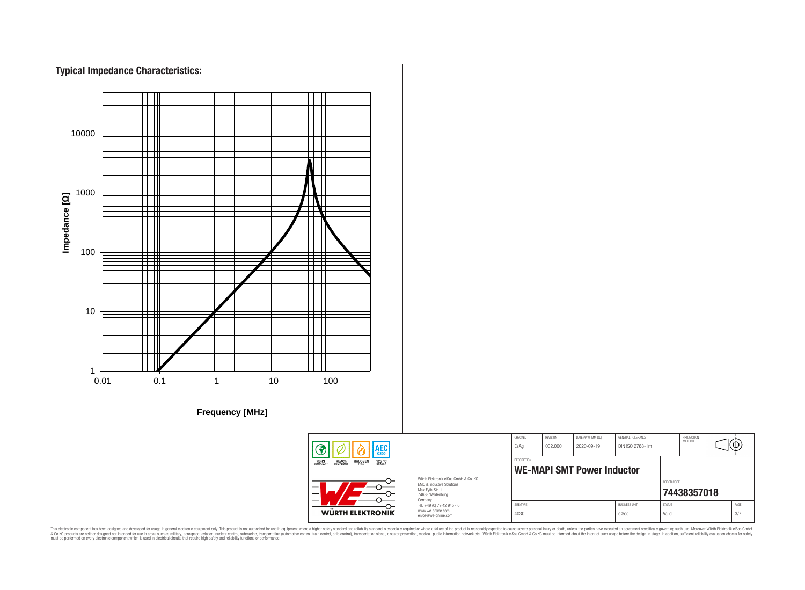# **Typical Impedance Characteristics:**



This electronic component has been designed and developed for usage in general electronic equipment only. This product is not authorized for use in equipment where a higher safely standard and reliability standard si espec & Ook product a label and the membed of the seasuch as marked and as which such a membed and the such assume that income in the seasuch and the simulation and the such assume that include to the such a membed and the such

PROJECTION<br>METHOD

76

**[74438357018](https://katalog.we-online.de/en/pbs/WE-MAPI/74438357018)**

ORDER CODE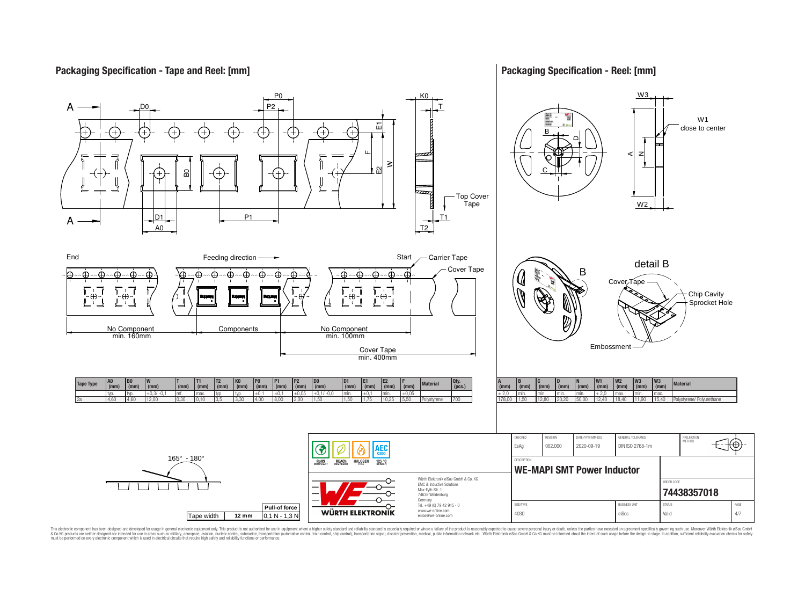## **Packaging Specification - Tape and Reel: [mm]**

## **Packaging Specification - Reel: [mm]**



This electronic component has been designed and developed for usage in general electronic equipment only. This product is not authorized for subserved requipment where a higher selection equipment where a higher selection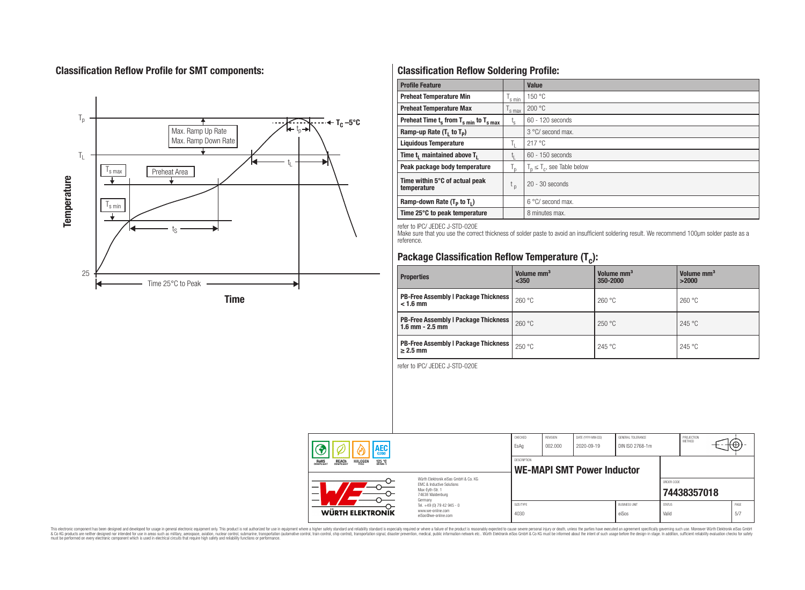# **Classification Reflow Profile for SMT components:**



# **Classification Reflow Soldering Profile:**

| <b>Profile Feature</b>                             |                    | <b>Value</b>                     |
|----------------------------------------------------|--------------------|----------------------------------|
| <b>Preheat Temperature Min</b>                     | <sup>I</sup> s min | 150 °C                           |
| <b>Preheat Temperature Max</b>                     | <sup>I</sup> s max | 200 °C                           |
| Preheat Time $t_s$ from $T_{s min}$ to $T_{s max}$ | $t_{\rm s}$        | $60 - 120$ seconds               |
| Ramp-up Rate $(T_1$ to $T_p$ )                     |                    | 3 °C/ second max.                |
| <b>Liquidous Temperature</b>                       | Ь.                 | 217 °C                           |
| Time $t_i$ maintained above $T_i$                  | կ                  | $60 - 150$ seconds               |
| Peak package body temperature                      | l n                | $T_p \leq T_c$ , see Table below |
| Time within 5°C of actual peak<br>temperature      | $t_{p}$            | $20 - 30$ seconds                |
| Ramp-down Rate $(T_p$ to $T_1$ )                   |                    | $6^{\circ}$ C/ second max.       |
| Time 25°C to peak temperature                      |                    | 8 minutes max.                   |

refer to IPC/ JEDEC J-STD-020E

Make sure that you use the correct thickness of solder paste to avoid an insufficient soldering result. We recommend 100µm solder paste as a reference.

# **Package Classification Reflow Temperature (T<sup>c</sup> ):**

| <b>Properties</b>                                                    | Volume mm <sup>3</sup><br>< 350 | Volume mm <sup>3</sup><br>350-2000 | Volume mm <sup>3</sup><br>>2000 |  |
|----------------------------------------------------------------------|---------------------------------|------------------------------------|---------------------------------|--|
| <b>PB-Free Assembly   Package Thickness  </b><br>$< 1.6$ mm          | 260 °C                          | 260 °C                             | 260 °C                          |  |
| <b>PB-Free Assembly   Package Thickness  </b><br>$1.6$ mm $- 2.5$ mm | 260 °C                          | 250 °C                             | 245 °C                          |  |
| <b>PB-Free Assembly   Package Thickness  </b><br>$\geq$ 2.5 mm       | 250 °C                          | 245 °C                             | 245 °C                          |  |

refer to IPC/ JEDEC J-STD-020E

| AEC<br><b>REACH</b><br>COMPLIANT<br><b>HALOGEN</b><br><b>ROHS</b><br>COMPLIANT<br>125 °C<br>Grade 1 |                                                                                                                     | CHECKED<br>EsAq                                  | <b>REVISION</b><br>002.000 | DATE (YYYY-MM-DD)<br>2020-09-19 | GENERAL TOLERANCE<br>DIN ISO 2768-1m |                        | PROJECTION<br>METHOD |             |
|-----------------------------------------------------------------------------------------------------|---------------------------------------------------------------------------------------------------------------------|--------------------------------------------------|----------------------------|---------------------------------|--------------------------------------|------------------------|----------------------|-------------|
|                                                                                                     |                                                                                                                     | DESCRIPTION<br><b>WE-MAPI SMT Power Inductor</b> |                            |                                 |                                      |                        |                      |             |
|                                                                                                     | Würth Flektronik eiSos GmbH & Co. KG<br>FMC & Inductive Solutions<br>Max-Eyth-Str. 1<br>74638 Waldenburg<br>Germany |                                                  |                            |                                 |                                      | ORDER CODE             | 74438357018          |             |
| WÜRTH ELEKTRONIK                                                                                    | Tel. +49 (0) 79 42 945 - 0<br>www.we-online.com<br>eiSos@we-online.com                                              | SIZE/TYPE<br>4030                                |                            |                                 | <b>BUSINESS UNIT</b><br>eiSos        | <b>STATUS</b><br>Valid |                      | PAGE<br>5/7 |

This electronic component has been designed and developed for usage in general electronic equipment only. This product is not authorized for subserved requipment where a higher selection equipment where a higher selection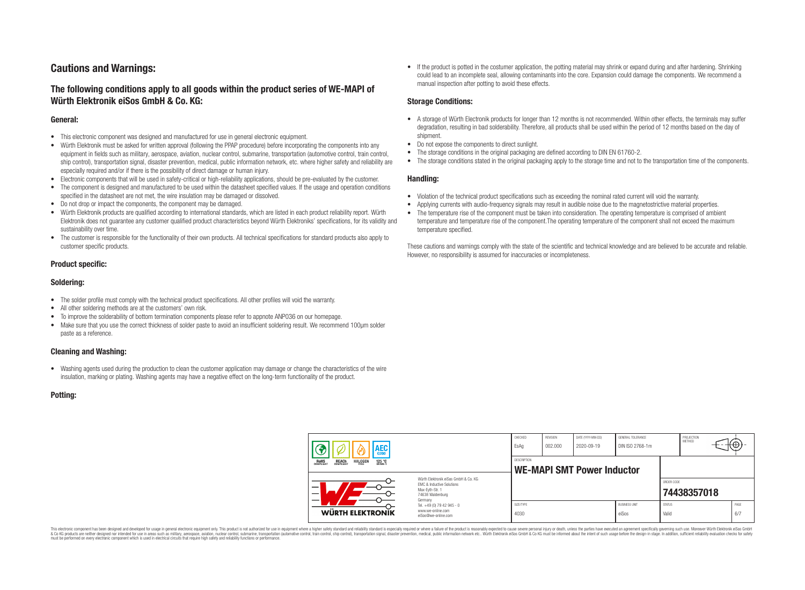# **Cautions and Warnings:**

## **The following conditions apply to all goods within the product series of WE-MAPI of Würth Elektronik eiSos GmbH & Co. KG:**

#### **General:**

- This electronic component was designed and manufactured for use in general electronic equipment.
- Würth Elektronik must be asked for written approval (following the PPAP procedure) before incorporating the components into any equipment in fields such as military, aerospace, aviation, nuclear control, submarine, transportation (automotive control, train control, ship control), transportation signal, disaster prevention, medical, public information network, etc. where higher safety and reliability are especially required and/or if there is the possibility of direct damage or human injury.
- Electronic components that will be used in safety-critical or high-reliability applications, should be pre-evaluated by the customer.
- The component is designed and manufactured to be used within the datasheet specified values. If the usage and operation conditions specified in the datasheet are not met, the wire insulation may be damaged or dissolved.
- Do not drop or impact the components, the component may be damaged.
- Würth Elektronik products are qualified according to international standards, which are listed in each product reliability report. Würth Elektronik does not guarantee any customer qualified product characteristics beyond Würth Elektroniks' specifications, for its validity and sustainability over time.
- The customer is responsible for the functionality of their own products. All technical specifications for standard products also apply to customer specific products.

#### **Product specific:**

#### **Soldering:**

- The solder profile must comply with the technical product specifications. All other profiles will void the warranty.
- All other soldering methods are at the customers' own risk.
- To improve the solderability of bottom termination components please refer to appnote ANP036 on our homepage.
- Make sure that you use the correct thickness of solder paste to avoid an insufficient soldering result. We recommend 100µm solder paste as a reference.

#### **Cleaning and Washing:**

• Washing agents used during the production to clean the customer application may damage or change the characteristics of the wire insulation, marking or plating. Washing agents may have a negative effect on the long-term functionality of the product.

#### **Potting:**

• If the product is potted in the costumer application, the potting material may shrink or expand during and after hardening. Shrinking could lead to an incomplete seal, allowing contaminants into the core. Expansion could damage the components. We recommend a manual inspection after potting to avoid these effects.

#### **Storage Conditions:**

- A storage of Würth Electronik products for longer than 12 months is not recommended. Within other effects, the terminals may suffer degradation, resulting in bad solderability. Therefore, all products shall be used within the period of 12 months based on the day of shipment.
- Do not expose the components to direct sunlight.
- The storage conditions in the original packaging are defined according to DIN EN 61760-2.
- The storage conditions stated in the original packaging apply to the storage time and not to the transportation time of the components.

#### **Handling:**

- Violation of the technical product specifications such as exceeding the nominal rated current will void the warranty.
- Applying currents with audio-frequency signals may result in audible noise due to the magnetostrictive material properties.
- The temperature rise of the component must be taken into consideration. The operating temperature is comprised of ambient temperature and temperature rise of the component.The operating temperature of the component shall not exceed the maximum temperature specified.

These cautions and warnings comply with the state of the scientific and technical knowledge and are believed to be accurate and reliable. However, no responsibility is assumed for inaccuracies or incompleteness.

| AEC                                                                               |                                                                                                                                                                                               | CHECKED<br>EsAq                                  | <b>REVISION</b><br>002.000 | DATE (YYYY-MM-DD)<br>2020-09-19 | GENERAL TOLERANCE<br>DIN ISO 2768-1m |                        | PROJECTION<br>METHOD | ťΦ          |
|-----------------------------------------------------------------------------------|-----------------------------------------------------------------------------------------------------------------------------------------------------------------------------------------------|--------------------------------------------------|----------------------------|---------------------------------|--------------------------------------|------------------------|----------------------|-------------|
| 125 °C<br><b>ROHS</b><br>COMPLIANT<br><b>REACH</b><br>COMPLIANT<br><b>HALOGEN</b> |                                                                                                                                                                                               | DESCRIPTION<br><b>WE-MAPI SMT Power Inductor</b> |                            |                                 |                                      |                        |                      |             |
|                                                                                   | Würth Flektronik eiSos GmbH & Co. KG<br>FMC & Inductive Solutions<br>Max-Eyth-Str. 1<br>74638 Waldenburg<br>Germany<br>Tel. +49 (0) 79 42 945 - 0<br>www.we-online.com<br>eiSos@we-online.com |                                                  |                            |                                 |                                      | ORDER CODE             | 74438357018          |             |
| WÜRTH ELEKTRONIK                                                                  |                                                                                                                                                                                               | SIZE/TYPE<br>4030                                |                            |                                 | <b>BUSINESS UNIT</b><br>eiSos        | <b>STATUS</b><br>Valid |                      | PAGE<br>6/7 |

This electronic component has been designed and developed for usage in general electronic equipment only. This product is not authorized for use in equipment where a higher safety standard and reliability standard si espec & Ook product a label and the membed of the seasuch as marked and as which such a membed and the such assume that income in the seasuch and the simulation and the such assume that include to the such a membed and the such